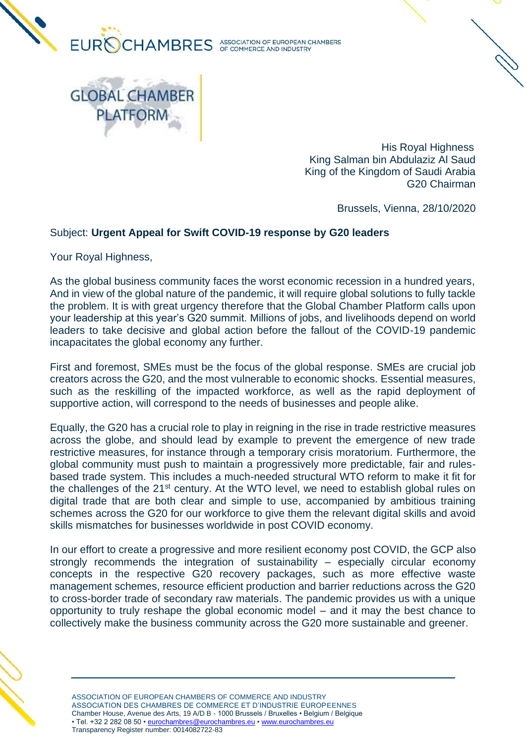

**GLOBAL CHAMBER** 

**PLATFORM** 

 His Royal Highness King Salman bin Abdulaziz Al Saud King of the Kingdom of Saudi Arabia G20 Chairman

Brussels, Vienna, 28/10/2020

## Subject: **Urgent Appeal for Swift COVID-19 response by G20 leaders**

Your Royal Highness,

As the global business community faces the worst economic recession in a hundred years, And in view of the global nature of the pandemic, it will require global solutions to fully tackle the problem. It is with great urgency therefore that the Global Chamber Platform calls upon your leadership at this year's G20 summit. Millions of jobs, and livelihoods depend on world leaders to take decisive and global action before the fallout of the COVID-19 pandemic incapacitates the global economy any further.

First and foremost, SMEs must be the focus of the global response. SMEs are crucial job creators across the G20, and the most vulnerable to economic shocks. Essential measures, such as the reskilling of the impacted workforce, as well as the rapid deployment of supportive action, will correspond to the needs of businesses and people alike.

Equally, the G20 has a crucial role to play in reigning in the rise in trade restrictive measures across the globe, and should lead by example to prevent the emergence of new trade restrictive measures, for instance through a temporary crisis moratorium. Furthermore, the global community must push to maintain a progressively more predictable, fair and rulesbased trade system. This includes a much-needed structural WTO reform to make it fit for the challenges of the 21<sup>st</sup> century. At the WTO level, we need to establish global rules on digital trade that are both clear and simple to use, accompanied by ambitious training schemes across the G20 for our workforce to give them the relevant digital skills and avoid skills mismatches for businesses worldwide in post COVID economy.

In our effort to create a progressive and more resilient economy post COVID, the GCP also strongly recommends the integration of sustainability – especially circular economy concepts in the respective G20 recovery packages, such as more effective waste management schemes, resource efficient production and barrier reductions across the G20 to cross-border trade of secondary raw materials. The pandemic provides us with a unique opportunity to truly reshape the global economic model – and it may the best chance to collectively make the business community across the G20 more sustainable and greener.



ASSOCIATION OF EUROPEAN CHAMBERS OF COMMERCE AND INDUSTRY ASSOCIATION DES CHAMBRES DE COMMERCE ET D'INDUSTRIE EUROPEENNES Chamber House, Avenue des Arts, 19 A/D B - 1000 Brussels / Bruxelles • Belgium / Belgique • Tel. +32 2 282 08 50 [• eurochambres@eurochambres.eu](mailto:eurochambres@eurochambres.eu) • [www.eurochambres.eu](http://www.eurochambres.eu/) Transparency Register number: 0014082722-83